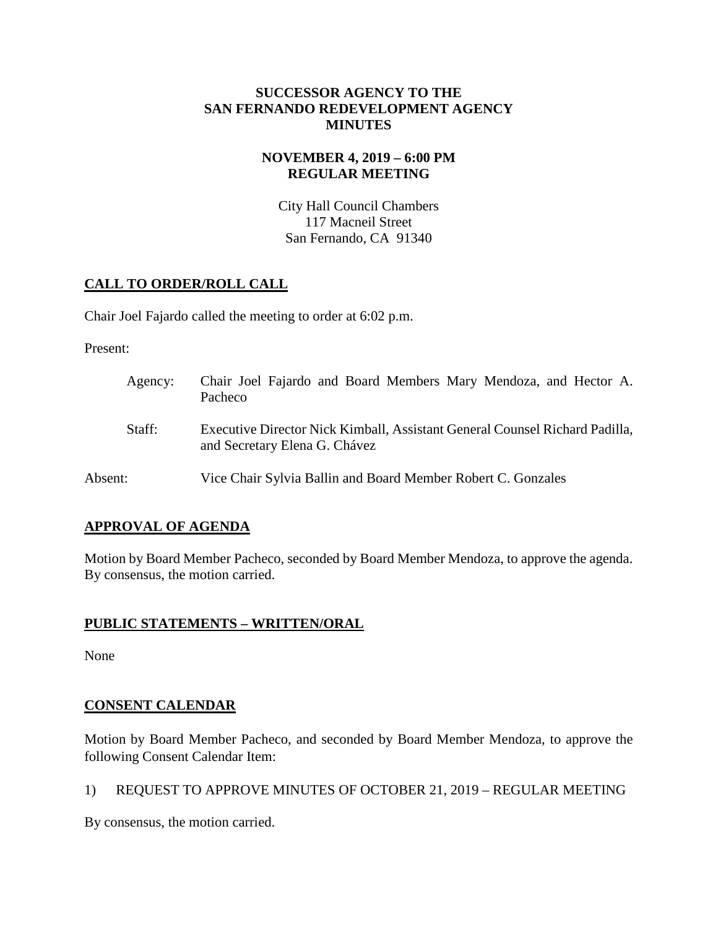## **SUCCESSOR AGENCY TO THE SAN FERNANDO REDEVELOPMENT AGENCY MINUTES**

# **NOVEMBER 4, 2019 – 6:00 PM REGULAR MEETING**

City Hall Council Chambers 117 Macneil Street San Fernando, CA 91340

# **CALL TO ORDER/ROLL CALL**

Chair Joel Fajardo called the meeting to order at 6:02 p.m.

Present:

| Agency: | Chair Joel Fajardo and Board Members Mary Mendoza, and Hector A.<br>Pacheco                                  |
|---------|--------------------------------------------------------------------------------------------------------------|
| Staff:  | Executive Director Nick Kimball, Assistant General Counsel Richard Padilla,<br>and Secretary Elena G. Chávez |
| Absent: | Vice Chair Sylvia Ballin and Board Member Robert C. Gonzales                                                 |

# **APPROVAL OF AGENDA**

Motion by Board Member Pacheco, seconded by Board Member Mendoza, to approve the agenda. By consensus, the motion carried.

# **PUBLIC STATEMENTS – WRITTEN/ORAL**

None

# **CONSENT CALENDAR**

Motion by Board Member Pacheco, and seconded by Board Member Mendoza, to approve the following Consent Calendar Item:

1) REQUEST TO APPROVE MINUTES OF OCTOBER 21, 2019 – REGULAR MEETING

By consensus, the motion carried.